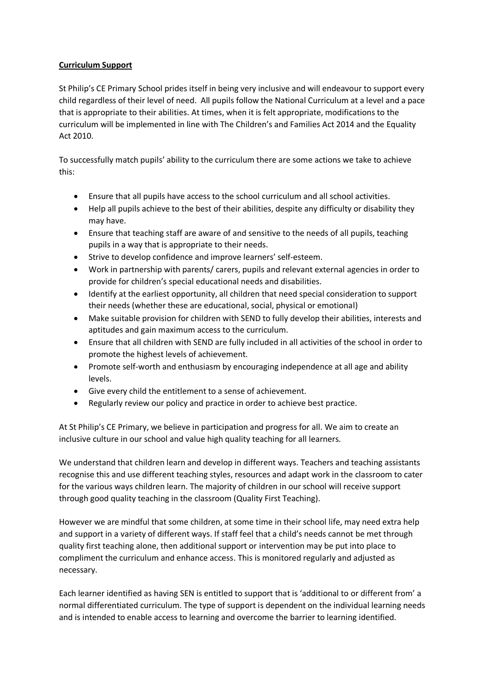## **Curriculum Support**

St Philip's CE Primary School prides itself in being very inclusive and will endeavour to support every child regardless of their level of need.  All pupils follow the National Curriculum at a level and a pace that is appropriate to their abilities. At times, when it is felt appropriate, modifications to the curriculum will be implemented in line with The Children's and Families Act 2014 and the Equality Act 2010.

To successfully match pupils' ability to the curriculum there are some actions we take to achieve this:

- Ensure that all pupils have access to the school curriculum and all school activities.
- Help all pupils achieve to the best of their abilities, despite any difficulty or disability they may have.
- Ensure that teaching staff are aware of and sensitive to the needs of all pupils, teaching pupils in a way that is appropriate to their needs.
- Strive to develop confidence and improve learners' self-esteem.
- Work in partnership with parents/ carers, pupils and relevant external agencies in order to provide for children's special educational needs and disabilities.
- Identify at the earliest opportunity, all children that need special consideration to support their needs (whether these are educational, social, physical or emotional)
- Make suitable provision for children with SEND to fully develop their abilities, interests and aptitudes and gain maximum access to the curriculum.
- Ensure that all children with SEND are fully included in all activities of the school in order to promote the highest levels of achievement.
- Promote self-worth and enthusiasm by encouraging independence at all age and ability levels.
- Give every child the entitlement to a sense of achievement.
- Regularly review our policy and practice in order to achieve best practice.

At St Philip's CE Primary, we believe in participation and progress for all. We aim to create an inclusive culture in our school and value high quality teaching for all learners.

We understand that children learn and develop in different ways. Teachers and teaching assistants recognise this and use different teaching styles, resources and adapt work in the classroom to cater for the various ways children learn. The majority of children in our school will receive support through good quality teaching in the classroom (Quality First Teaching).

However we are mindful that some children, at some time in their school life, may need extra help and support in a variety of different ways. If staff feel that a child's needs cannot be met through quality first teaching alone, then additional support or intervention may be put into place to compliment the curriculum and enhance access. This is monitored regularly and adjusted as necessary.

Each learner identified as having SEN is entitled to support that is 'additional to or different from' a normal differentiated curriculum. The type of support is dependent on the individual learning needs and is intended to enable access to learning and overcome the barrier to learning identified.